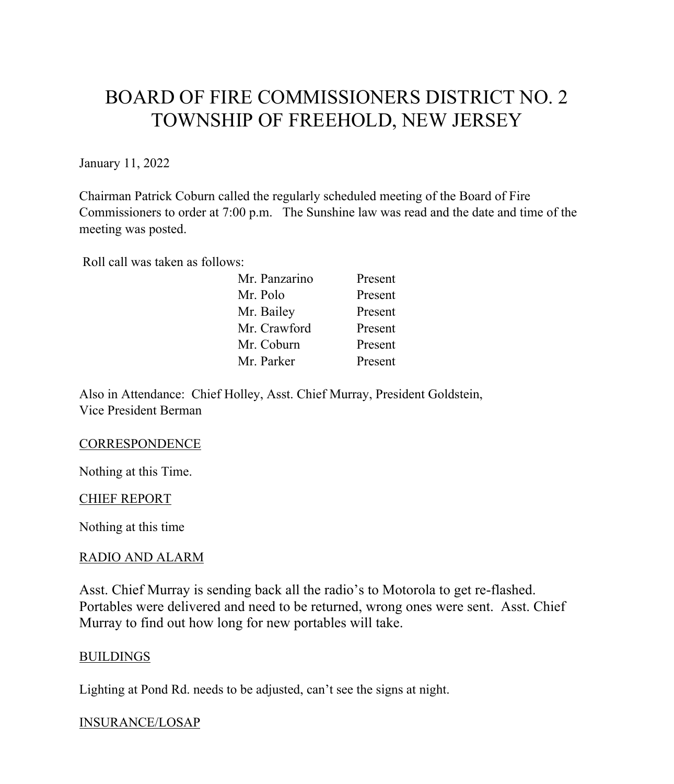# BOARD OF FIRE COMMISSIONERS DISTRICT NO. 2 TOWNSHIP OF FREEHOLD, NEW JERSEY

January 11, 2022

Chairman Patrick Coburn called the regularly scheduled meeting of the Board of Fire Commissioners to order at 7:00 p.m. The Sunshine law was read and the date and time of the meeting was posted.

Roll call was taken as follows:

| Mr. Panzarino | Present |
|---------------|---------|
| Mr. Polo      | Present |
| Mr. Bailey    | Present |
| Mr. Crawford  | Present |
| Mr. Coburn    | Present |
| Mr. Parker    | Present |

Also in Attendance: Chief Holley, Asst. Chief Murray, President Goldstein, Vice President Berman

## **CORRESPONDENCE**

Nothing at this Time.

## CHIEF REPORT

Nothing at this time

## RADIO AND ALARM

Asst. Chief Murray is sending back all the radio's to Motorola to get re-flashed. Portables were delivered and need to be returned, wrong ones were sent. Asst. Chief Murray to find out how long for new portables will take.

#### BUILDINGS

Lighting at Pond Rd. needs to be adjusted, can't see the signs at night.

## INSURANCE/LOSAP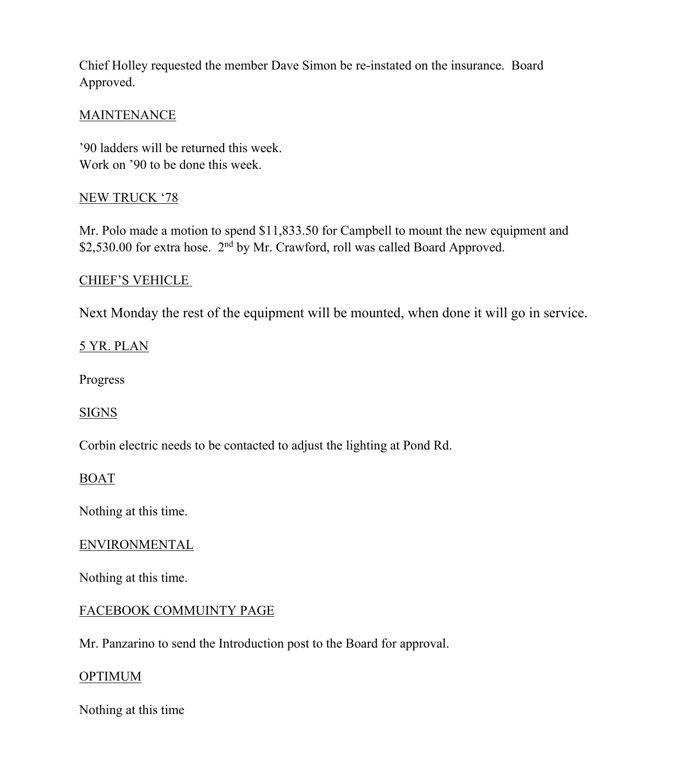Chief Holley requested the member Dave Simon be re-instated on the insurance. Board Approved.

## **MAINTENANCE**

'90 ladders will be returned this week. Work on '90 to be done this week.

## NEW TRUCK '78

Mr. Polo made a motion to spend \$11,833.50 for Campbell to mount the new equipment and \$2,530.00 for extra hose. 2<sup>nd</sup> by Mr. Crawford, roll was called Board Approved.

## CHIEF'S VEHICLE

Next Monday the rest of the equipment will be mounted, when done it will go in service.

## 5 YR. PLAN

Progress

## SIGNS

Corbin electric needs to be contacted to adjust the lighting at Pond Rd.

## BOAT

Nothing at this time.

## ENVIRONMENTAL

Nothing at this time.

## FACEBOOK COMMUINTY PAGE

Mr. Panzarino to send the Introduction post to the Board for approval.

## **OPTIMUM**

Nothing at this time